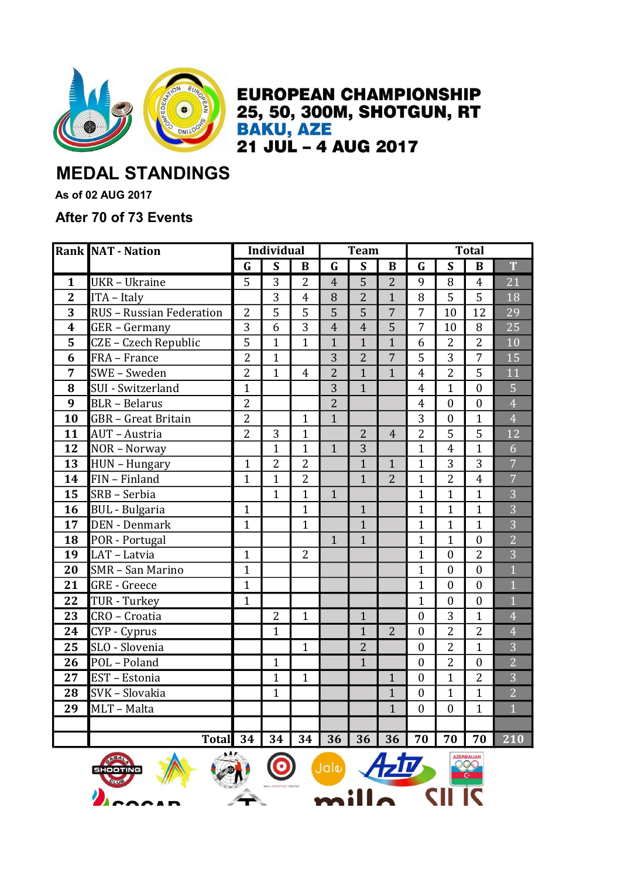

**EUROPEAN CHAMPIONSHIP** 25, 50, 300M, SHOTGUN, RT **BAKU, AZE** 21 JUL - 4 AUG 2017

## MEDAL STANDINGS

As of 02 AUG 2017

## After 70 of 73 Events

|                         | <b>Rank NAT - Nation</b>   | <b>Individual</b> |                         |                | <b>Team</b>    |                         |                | <b>Total</b>            |                         |                  |                |
|-------------------------|----------------------------|-------------------|-------------------------|----------------|----------------|-------------------------|----------------|-------------------------|-------------------------|------------------|----------------|
|                         |                            | $\mathbf G$       | $\overline{\mathbf{s}}$ | $\bf{B}$       | $\mathbf G$    | $\overline{\mathsf{s}}$ | $\bf{B}$       | $\overline{\mathbf{G}}$ | $\overline{\mathbf{S}}$ | B                | T              |
| $\mathbf{1}$            | <b>UKR</b> - Ukraine       | $\overline{5}$    | $\overline{3}$          | $\overline{2}$ | $\overline{4}$ | $\overline{5}$          | $\overline{2}$ | 9                       | 8                       | $\overline{4}$   | 21             |
| $\mathbf{2}$            | ITA - Italy                |                   | 3                       | $\overline{4}$ | 8              | $\overline{2}$          | $\mathbf{1}$   | 8                       | 5                       | 5                | 18             |
| 3                       | RUS - Russian Federation   | $\overline{2}$    | 5                       | 5              | 5              | 5                       | $\overline{7}$ | $\overline{7}$          | 10                      | 12               | 29             |
| $\overline{\mathbf{4}}$ | GER - Germany              | $\overline{3}$    | 6                       | $\overline{3}$ | $\overline{4}$ | $\overline{4}$          | 5              | $\overline{7}$          | 10                      | 8                | 25             |
| 5                       | CZE - Czech Republic       | $\overline{5}$    | $\overline{1}$          | $\mathbf{1}$   | $\overline{1}$ | $\overline{1}$          | $\mathbf{1}$   | 6                       | $\overline{2}$          | $\overline{2}$   | 10             |
| 6                       | FRA - France               | $\overline{2}$    | $\mathbf{1}$            |                | $\overline{3}$ | $\overline{2}$          | $\overline{7}$ | 5                       | 3                       | $\overline{7}$   | 15             |
| 7                       | SWE - Sweden               | $\overline{2}$    | $\mathbf{1}$            | $\overline{4}$ | $\overline{2}$ | $\overline{1}$          | $\mathbf{1}$   | $\overline{4}$          | $\overline{2}$          | 5                | 11             |
| 8                       | SUI - Switzerland          | $\overline{1}$    |                         |                | $\overline{3}$ | $\mathbf{1}$            |                | $\overline{4}$          | $\mathbf{1}$            | $\boldsymbol{0}$ | $\overline{5}$ |
| 9                       | <b>BLR</b> - Belarus       | $\overline{2}$    |                         |                | $\overline{2}$ |                         |                | $\overline{4}$          | $\boldsymbol{0}$        | $\boldsymbol{0}$ | $\overline{4}$ |
| 10                      | <b>GBR</b> - Great Britain | $\overline{2}$    |                         | $\mathbf{1}$   | $\mathbf{1}$   |                         |                | 3                       | $\boldsymbol{0}$        | $\mathbf{1}$     | $\overline{4}$ |
| 11                      | <b>AUT</b> - Austria       | $\overline{2}$    | 3                       | $\mathbf{1}$   |                | $\overline{2}$          | $\overline{4}$ | $\overline{2}$          | 5                       | 5                | 12             |
| 12                      | NOR - Norway               |                   | $\mathbf{1}$            | $\mathbf{1}$   | $\mathbf{1}$   | 3                       |                | $\mathbf{1}$            | $\overline{4}$          | $\overline{1}$   | $\overline{6}$ |
| 13                      | HUN - Hungary              | $\mathbf{1}$      | $\overline{2}$          | $\overline{2}$ |                | $\overline{1}$          | $\mathbf{1}$   | $\overline{1}$          | 3                       | 3                | $\overline{7}$ |
| 14                      | FIN - Finland              | $\mathbf{1}$      | $\mathbf{1}$            | $\overline{2}$ |                | $\mathbf{1}$            | $\overline{2}$ | $\mathbf{1}$            | $\overline{2}$          | $\overline{4}$   | $\overline{7}$ |
| 15                      | SRB - Serbia               |                   | $\mathbf{1}$            | $\mathbf{1}$   | $\mathbf{1}$   |                         |                | $\overline{1}$          | $\mathbf{1}$            | $\mathbf{1}$     | $\overline{3}$ |
| 16                      | <b>BUL</b> - Bulgaria      | $\mathbf{1}$      |                         | $\mathbf{1}$   |                | $\overline{1}$          |                | $\overline{1}$          | $\mathbf{1}$            | $\overline{1}$   | $\overline{3}$ |
| 17                      | <b>DEN</b> - Denmark       | $\mathbf{1}$      |                         | $\mathbf{1}$   |                | $\overline{1}$          |                | $\overline{1}$          | $\overline{1}$          | $\mathbf{1}$     | $\overline{3}$ |
| 18                      | POR - Portugal             |                   |                         |                | $\mathbf{1}$   | $\mathbf{1}$            |                | $\mathbf{1}$            | $\mathbf{1}$            | $\boldsymbol{0}$ | $\overline{2}$ |
| 19                      | LAT - Latvia               | $\mathbf{1}$      |                         | $\overline{2}$ |                |                         |                | $\mathbf{1}$            | $\boldsymbol{0}$        | $\overline{2}$   | $\overline{3}$ |
| 20                      | SMR - San Marino           | $\mathbf{1}$      |                         |                |                |                         |                | $\overline{1}$          | $\mathbf{0}$            | $\overline{0}$   | $\overline{1}$ |
| 21                      | <b>GRE</b> - Greece        | $\mathbf{1}$      |                         |                |                |                         |                | $\overline{1}$          | $\mathbf{0}$            | $\overline{0}$   | $\overline{1}$ |
| 22                      | TUR - Turkey               | $\mathbf{1}$      |                         |                |                |                         |                | $\overline{1}$          | $\mathbf{0}$            | $\boldsymbol{0}$ | $\overline{1}$ |
| 23                      | CRO - Croatia              |                   | $\overline{2}$          | $\mathbf{1}$   |                | $\mathbf{1}$            |                | $\overline{0}$          | 3                       | $\mathbf{1}$     | $\overline{4}$ |
| 24                      | CYP - Cyprus               |                   | $\mathbf{1}$            |                |                | $\mathbf{1}$            | $\overline{2}$ | $\overline{0}$          | $\overline{2}$          | $\overline{2}$   | $\overline{4}$ |
| 25                      | SLO - Slovenia             |                   |                         | $\mathbf{1}$   |                | $\overline{2}$          |                | $\overline{0}$          | $\overline{2}$          | $\overline{1}$   | $\overline{3}$ |
| 26                      | POL - Poland               |                   | $\mathbf{1}$            |                |                | $\mathbf{1}$            |                | $\boldsymbol{0}$        | 2                       | $\boldsymbol{0}$ | $\overline{2}$ |
| 27                      | EST - Estonia              |                   | $\mathbf{1}$            | $\mathbf{1}$   |                |                         | $\mathbf{1}$   | $\mathbf{0}$            | $\mathbf{1}$            | $\overline{2}$   | $\overline{3}$ |
| 28                      | SVK - Slovakia             |                   | $\mathbf{1}$            |                |                |                         | $\mathbf{1}$   | $\theta$                | $\mathbf{1}$            | $\mathbf{1}$     | $\overline{2}$ |
| 29                      | MLT - Malta                |                   |                         |                |                |                         | $\mathbf{1}$   | $\overline{0}$          | $\boldsymbol{0}$        | $\overline{1}$   | $\overline{1}$ |
|                         |                            |                   |                         |                |                |                         |                |                         |                         |                  |                |
|                         | <b>Total</b>               | 34                | 34                      | 34             | 36             | 36                      | 36             | 70                      | 70                      | 70               | 210            |





**Jala** 

CII